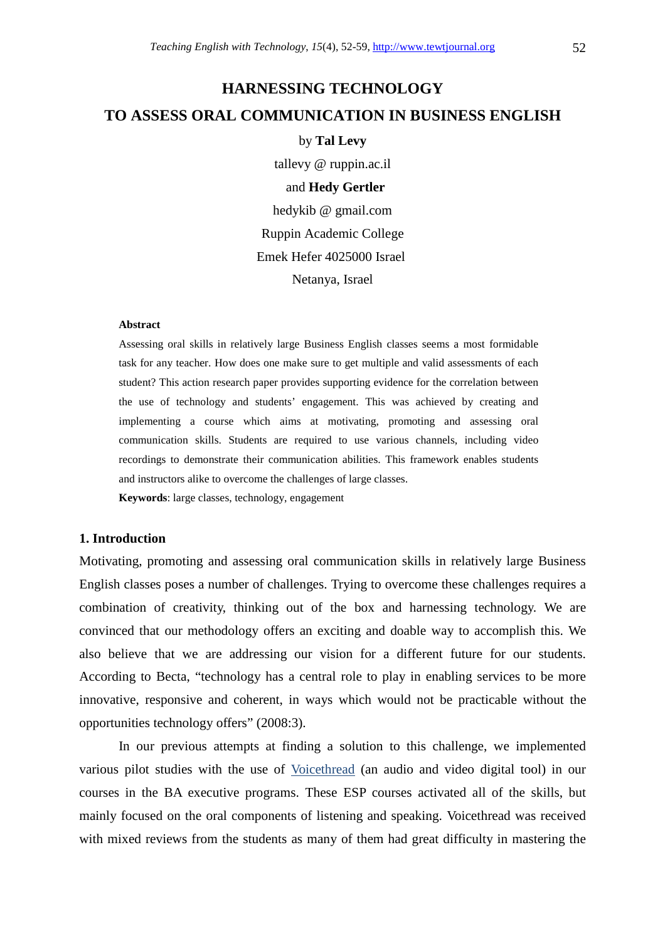# **HARNESSING TECHNOLOGY TO ASSESS ORAL COMMUNICATION IN BUSINESS ENGLISH**

## by **Tal Levy**

tallevy @ ruppin.ac.il and **Hedy Gertler**  hedykib @ gmail.com Ruppin Academic College Emek Hefer 4025000 Israel Netanya, Israel

#### **Abstract**

Assessing oral skills in relatively large Business English classes seems a most formidable task for any teacher. How does one make sure to get multiple and valid assessments of each student? This action research paper provides supporting evidence for the correlation between the use of technology and students' engagement. This was achieved by creating and implementing a course which aims at motivating, promoting and assessing oral communication skills. Students are required to use various channels, including video recordings to demonstrate their communication abilities. This framework enables students and instructors alike to overcome the challenges of large classes. **Keywords**: large classes, technology, engagement

### **1. Introduction**

Motivating, promoting and assessing oral communication skills in relatively large Business English classes poses a number of challenges. Trying to overcome these challenges requires a combination of creativity, thinking out of the box and harnessing technology. We are convinced that our methodology offers an exciting and doable way to accomplish this. We also believe that we are addressing our vision for a different future for our students. According to Becta, "technology has a central role to play in enabling services to be more innovative, responsive and coherent, in ways which would not be practicable without the opportunities technology offers" (2008:3).

In our previous attempts at finding a solution to this challenge, we implemented various pilot studies with the use of Voicethread (an audio and video digital tool) in our courses in the BA executive programs. These ESP courses activated all of the skills, but mainly focused on the oral components of listening and speaking. Voicethread was received with mixed reviews from the students as many of them had great difficulty in mastering the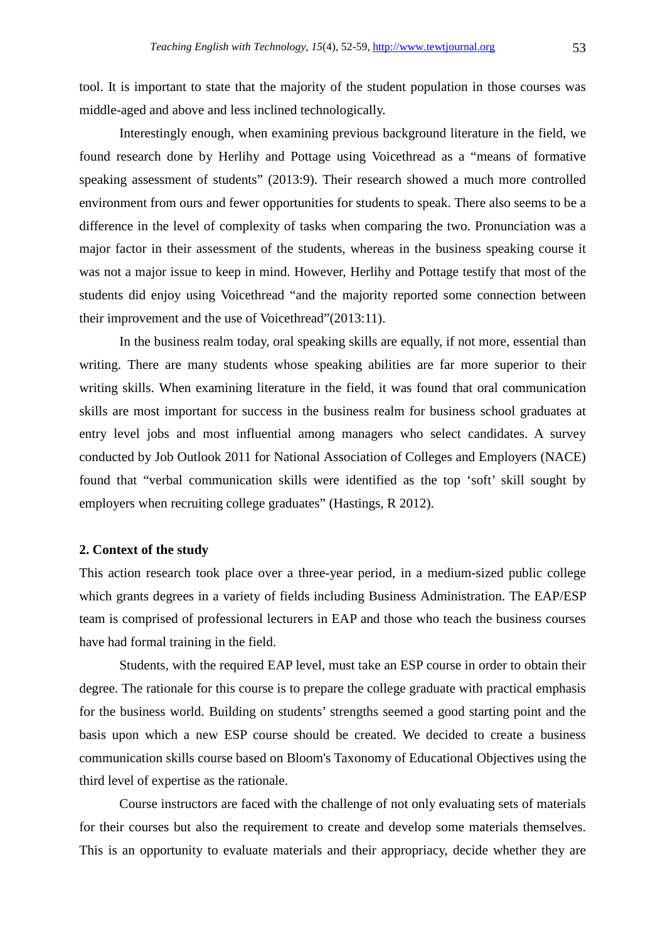tool. It is important to state that the majority of the student population in those courses was middle-aged and above and less inclined technologically.

Interestingly enough, when examining previous background literature in the field, we found research done by Herlihy and Pottage using Voicethread as a "means of formative speaking assessment of students" (2013:9). Their research showed a much more controlled environment from ours and fewer opportunities for students to speak. There also seems to be a difference in the level of complexity of tasks when comparing the two. Pronunciation was a major factor in their assessment of the students, whereas in the business speaking course it was not a major issue to keep in mind. However, Herlihy and Pottage testify that most of the students did enjoy using Voicethread "and the majority reported some connection between their improvement and the use of Voicethread"(2013:11).

In the business realm today, oral speaking skills are equally, if not more, essential than writing. There are many students whose speaking abilities are far more superior to their writing skills. When examining literature in the field, it was found that oral communication skills are most important for success in the business realm for business school graduates at entry level jobs and most influential among managers who select candidates. A survey conducted by Job Outlook 2011 for National Association of Colleges and Employers (NACE) found that "verbal communication skills were identified as the top 'soft' skill sought by employers when recruiting college graduates" (Hastings, R 2012).

#### **2. Context of the study**

This action research took place over a three-year period, in a medium-sized public college which grants degrees in a variety of fields including Business Administration. The EAP/ESP team is comprised of professional lecturers in EAP and those who teach the business courses have had formal training in the field.

Students, with the required EAP level, must take an ESP course in order to obtain their degree. The rationale for this course is to prepare the college graduate with practical emphasis for the business world. Building on students' strengths seemed a good starting point and the basis upon which a new ESP course should be created. We decided to create a business communication skills course based on Bloom's Taxonomy of Educational Objectives using the third level of expertise as the rationale.

Course instructors are faced with the challenge of not only evaluating sets of materials for their courses but also the requirement to create and develop some materials themselves. This is an opportunity to evaluate materials and their appropriacy, decide whether they are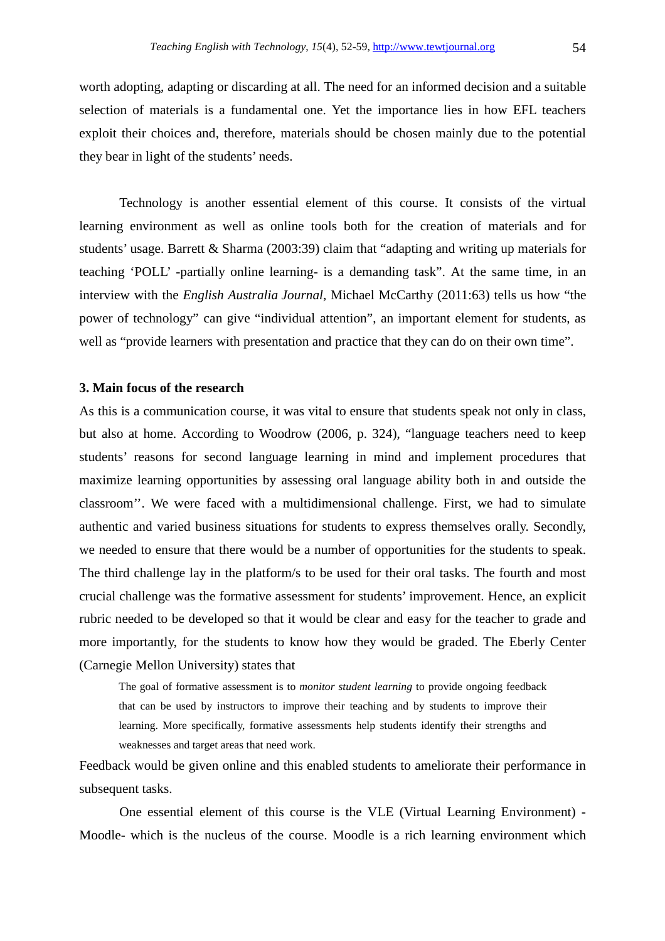worth adopting, adapting or discarding at all. The need for an informed decision and a suitable selection of materials is a fundamental one. Yet the importance lies in how EFL teachers exploit their choices and, therefore, materials should be chosen mainly due to the potential they bear in light of the students' needs.

Technology is another essential element of this course. It consists of the virtual learning environment as well as online tools both for the creation of materials and for students' usage. Barrett & Sharma (2003:39) claim that "adapting and writing up materials for teaching 'POLL' -partially online learning- is a demanding task". At the same time, in an interview with the *English Australia Journal*, Michael McCarthy (2011:63) tells us how "the power of technology" can give "individual attention", an important element for students, as well as "provide learners with presentation and practice that they can do on their own time".

#### **3. Main focus of the research**

As this is a communication course, it was vital to ensure that students speak not only in class, but also at home. According to Woodrow (2006, p. 324), "language teachers need to keep students' reasons for second language learning in mind and implement procedures that maximize learning opportunities by assessing oral language ability both in and outside the classroom''. We were faced with a multidimensional challenge. First, we had to simulate authentic and varied business situations for students to express themselves orally. Secondly, we needed to ensure that there would be a number of opportunities for the students to speak. The third challenge lay in the platform/s to be used for their oral tasks. The fourth and most crucial challenge was the formative assessment for students' improvement. Hence, an explicit rubric needed to be developed so that it would be clear and easy for the teacher to grade and more importantly, for the students to know how they would be graded. The Eberly Center (Carnegie Mellon University) states that

The goal of formative assessment is to *monitor student learning* to provide ongoing feedback that can be used by instructors to improve their teaching and by students to improve their learning. More specifically, formative assessments help students identify their strengths and weaknesses and target areas that need work.

Feedback would be given online and this enabled students to ameliorate their performance in subsequent tasks.

One essential element of this course is the VLE (Virtual Learning Environment) - Moodle- which is the nucleus of the course. Moodle is a rich learning environment which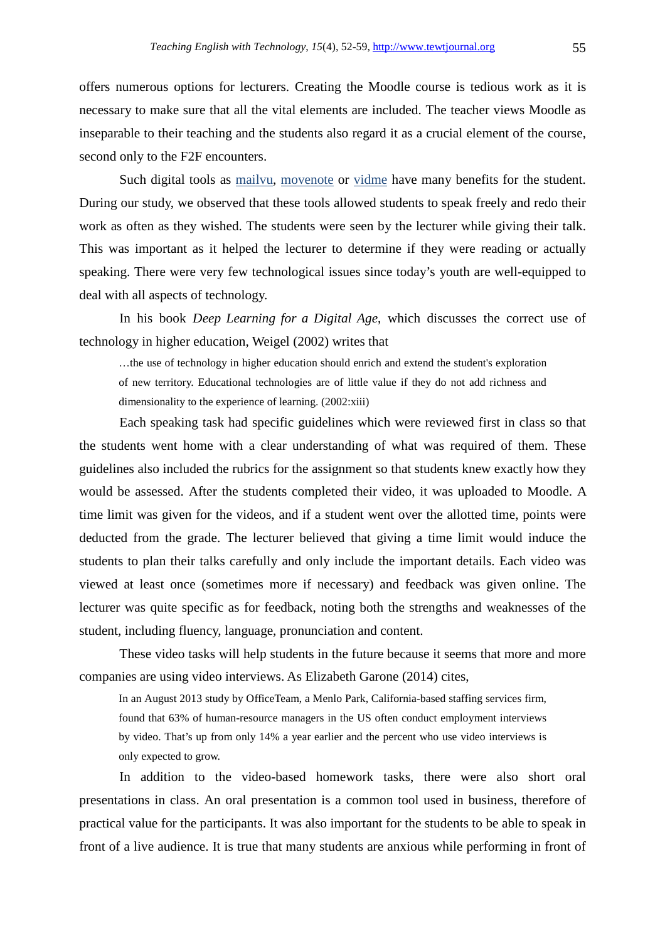offers numerous options for lecturers. Creating the Moodle course is tedious work as it is necessary to make sure that all the vital elements are included. The teacher views Moodle as inseparable to their teaching and the students also regard it as a crucial element of the course, second only to the F2F encounters.

Such digital tools as mailvu, movenote or vidme have many benefits for the student. During our study, we observed that these tools allowed students to speak freely and redo their work as often as they wished. The students were seen by the lecturer while giving their talk. This was important as it helped the lecturer to determine if they were reading or actually speaking. There were very few technological issues since today's youth are well-equipped to deal with all aspects of technology.

In his book *Deep Learning for a Digital Age*, which discusses the correct use of technology in higher education, Weigel (2002) writes that

…the use of technology in higher education should enrich and extend the student's exploration of new territory. Educational technologies are of little value if they do not add richness and dimensionality to the experience of learning. (2002:xiii)

Each speaking task had specific guidelines which were reviewed first in class so that the students went home with a clear understanding of what was required of them. These guidelines also included the rubrics for the assignment so that students knew exactly how they would be assessed. After the students completed their video, it was uploaded to Moodle. A time limit was given for the videos, and if a student went over the allotted time, points were deducted from the grade. The lecturer believed that giving a time limit would induce the students to plan their talks carefully and only include the important details. Each video was viewed at least once (sometimes more if necessary) and feedback was given online. The lecturer was quite specific as for feedback, noting both the strengths and weaknesses of the student, including fluency, language, pronunciation and content.

These video tasks will help students in the future because it seems that more and more companies are using video interviews. As Elizabeth Garone (2014) cites,

In an August 2013 study by OfficeTeam, a Menlo Park, California-based staffing services firm, found that 63% of human-resource managers in the US often conduct employment interviews by video. That's up from only 14% a year earlier and the percent who use video interviews is only expected to grow.

In addition to the video-based homework tasks, there were also short oral presentations in class. An oral presentation is a common tool used in business, therefore of practical value for the participants. It was also important for the students to be able to speak in front of a live audience. It is true that many students are anxious while performing in front of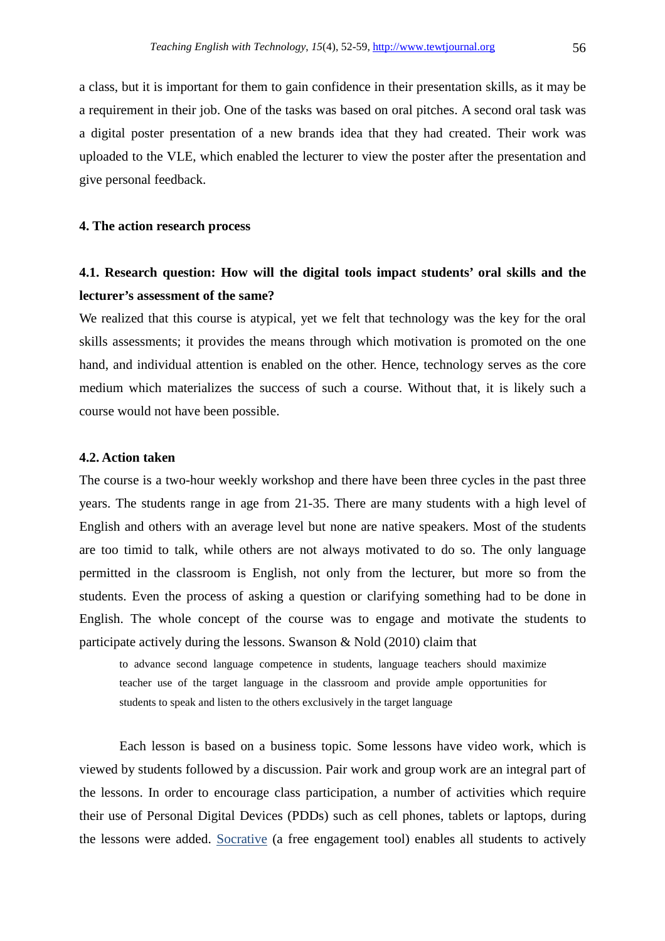a class, but it is important for them to gain confidence in their presentation skills, as it may be a requirement in their job. One of the tasks was based on oral pitches. A second oral task was a digital poster presentation of a new brands idea that they had created. Their work was uploaded to the VLE, which enabled the lecturer to view the poster after the presentation and give personal feedback.

#### **4. The action research process**

# **4.1. Research question: How will the digital tools impact students' oral skills and the lecturer's assessment of the same?**

We realized that this course is atypical, yet we felt that technology was the key for the oral skills assessments; it provides the means through which motivation is promoted on the one hand, and individual attention is enabled on the other. Hence, technology serves as the core medium which materializes the success of such a course. Without that, it is likely such a course would not have been possible.

#### **4.2. Action taken**

The course is a two-hour weekly workshop and there have been three cycles in the past three years. The students range in age from 21-35. There are many students with a high level of English and others with an average level but none are native speakers. Most of the students are too timid to talk, while others are not always motivated to do so. The only language permitted in the classroom is English, not only from the lecturer, but more so from the students. Even the process of asking a question or clarifying something had to be done in English. The whole concept of the course was to engage and motivate the students to participate actively during the lessons. Swanson & Nold (2010) claim that

to advance second language competence in students, language teachers should maximize teacher use of the target language in the classroom and provide ample opportunities for students to speak and listen to the others exclusively in the target language

Each lesson is based on a business topic. Some lessons have video work, which is viewed by students followed by a discussion. Pair work and group work are an integral part of the lessons. In order to encourage class participation, a number of activities which require their use of Personal Digital Devices (PDDs) such as cell phones, tablets or laptops, during the lessons were added. Socrative (a free engagement tool) enables all students to actively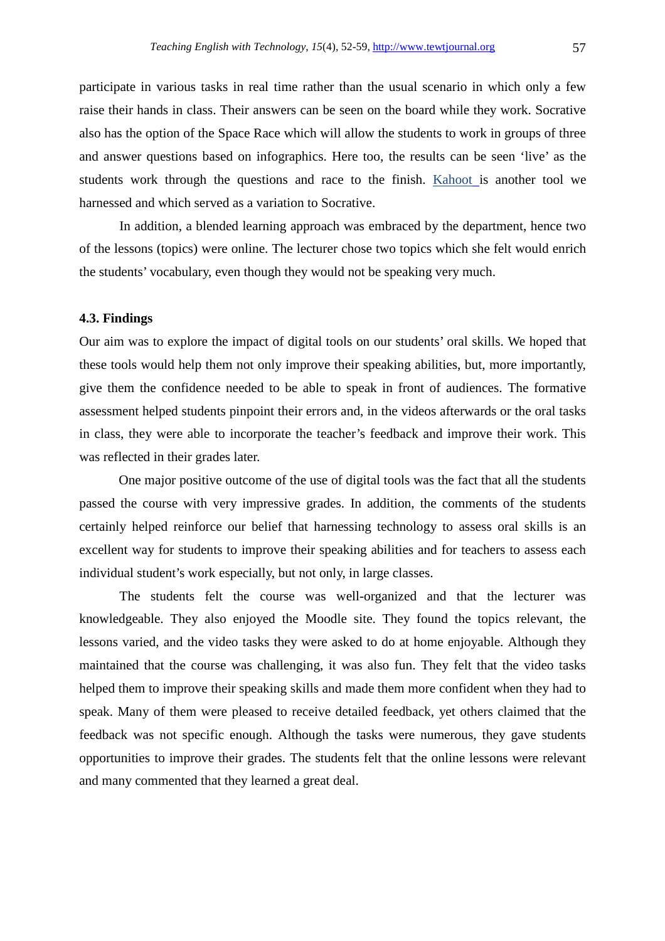participate in various tasks in real time rather than the usual scenario in which only a few raise their hands in class. Their answers can be seen on the board while they work. Socrative also has the option of the Space Race which will allow the students to work in groups of three and answer questions based on infographics. Here too, the results can be seen 'live' as the students work through the questions and race to the finish. Kahoot is another tool we harnessed and which served as a variation to Socrative.

In addition, a blended learning approach was embraced by the department, hence two of the lessons (topics) were online. The lecturer chose two topics which she felt would enrich the students' vocabulary, even though they would not be speaking very much.

#### **4.3. Findings**

Our aim was to explore the impact of digital tools on our students' oral skills. We hoped that these tools would help them not only improve their speaking abilities, but, more importantly, give them the confidence needed to be able to speak in front of audiences. The formative assessment helped students pinpoint their errors and, in the videos afterwards or the oral tasks in class, they were able to incorporate the teacher's feedback and improve their work. This was reflected in their grades later.

One major positive outcome of the use of digital tools was the fact that all the students passed the course with very impressive grades. In addition, the comments of the students certainly helped reinforce our belief that harnessing technology to assess oral skills is an excellent way for students to improve their speaking abilities and for teachers to assess each individual student's work especially, but not only, in large classes.

The students felt the course was well-organized and that the lecturer was knowledgeable. They also enjoyed the Moodle site. They found the topics relevant, the lessons varied, and the video tasks they were asked to do at home enjoyable. Although they maintained that the course was challenging, it was also fun. They felt that the video tasks helped them to improve their speaking skills and made them more confident when they had to speak. Many of them were pleased to receive detailed feedback, yet others claimed that the feedback was not specific enough. Although the tasks were numerous, they gave students opportunities to improve their grades. The students felt that the online lessons were relevant and many commented that they learned a great deal.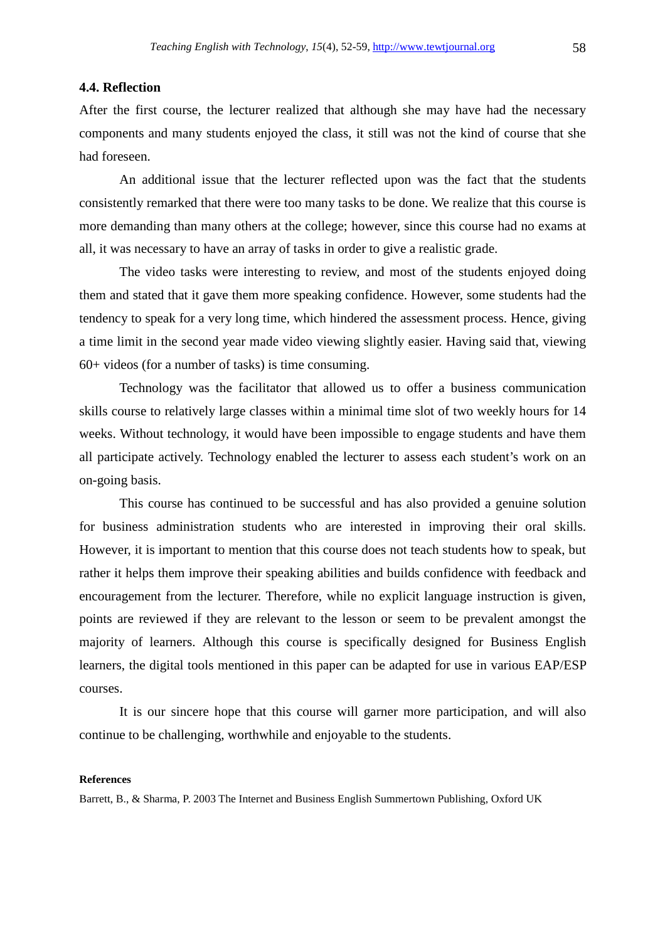#### **4.4. Reflection**

After the first course, the lecturer realized that although she may have had the necessary components and many students enjoyed the class, it still was not the kind of course that she had foreseen.

An additional issue that the lecturer reflected upon was the fact that the students consistently remarked that there were too many tasks to be done. We realize that this course is more demanding than many others at the college; however, since this course had no exams at all, it was necessary to have an array of tasks in order to give a realistic grade.

The video tasks were interesting to review, and most of the students enjoyed doing them and stated that it gave them more speaking confidence. However, some students had the tendency to speak for a very long time, which hindered the assessment process. Hence, giving a time limit in the second year made video viewing slightly easier. Having said that, viewing 60+ videos (for a number of tasks) is time consuming.

Technology was the facilitator that allowed us to offer a business communication skills course to relatively large classes within a minimal time slot of two weekly hours for 14 weeks. Without technology, it would have been impossible to engage students and have them all participate actively. Technology enabled the lecturer to assess each student's work on an on-going basis.

This course has continued to be successful and has also provided a genuine solution for business administration students who are interested in improving their oral skills. However, it is important to mention that this course does not teach students how to speak, but rather it helps them improve their speaking abilities and builds confidence with feedback and encouragement from the lecturer. Therefore, while no explicit language instruction is given, points are reviewed if they are relevant to the lesson or seem to be prevalent amongst the majority of learners. Although this course is specifically designed for Business English learners, the digital tools mentioned in this paper can be adapted for use in various EAP/ESP courses.

It is our sincere hope that this course will garner more participation, and will also continue to be challenging, worthwhile and enjoyable to the students.

#### **References**

Barrett, B., & Sharma, P. 2003 The Internet and Business English Summertown Publishing, Oxford UK